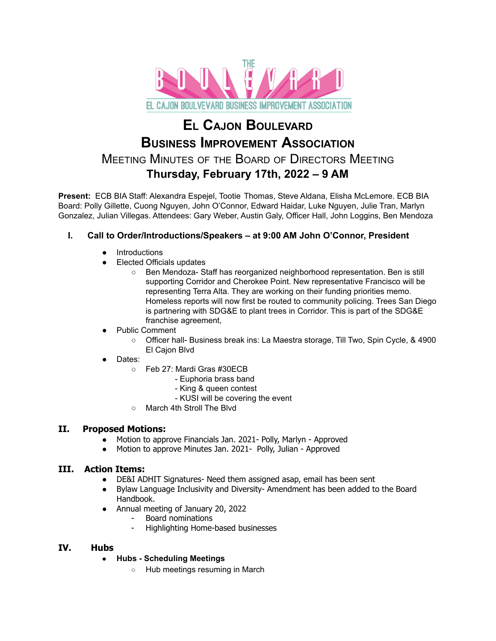

# **E<sup>L</sup> CAJON BOULEVARD BUSINESS IMPROVEMENT ASSOCIATION** MEETING MINUTES OF THE BOARD OF DIRECTORS MEETING **Thursday, February 17th, 2022 – 9 AM**

**Present:** ECB BIA Staff: Alexandra Espejel, Tootie Thomas, Steve Aldana, Elisha McLemore. ECB BIA Board: Polly Gillette, Cuong Nguyen, John O'Connor, Edward Haidar, Luke Nguyen, Julie Tran, Marlyn Gonzalez, Julian Villegas. Attendees: Gary Weber, Austin Galy, Officer Hall, John Loggins, Ben Mendoza

## **I. Call to Order/Introductions/Speakers – at 9:00 AM John O'Connor, President**

- **Introductions**
- **Elected Officials updates** 
	- Ben Mendoza- Staff has reorganized neighborhood representation. Ben is still supporting Corridor and Cherokee Point. New representative Francisco will be representing Terra Alta. They are working on their funding priorities memo. Homeless reports will now first be routed to community policing. Trees San Diego is partnering with SDG&E to plant trees in Corridor. This is part of the SDG&E franchise agreement,
- Public Comment
	- Officer hall- Business break ins: La Maestra storage, Till Two, Spin Cycle, & 4900 El Cajon Blvd
- Dates:
	- Feb 27: Mardi Gras #30ECB
		- Euphoria brass band
		- King & queen contest
		- KUSI will be covering the event
	- March 4th Stroll The Blvd

## **II. Proposed Motions:**

- Motion to approve Financials Jan. 2021- Polly, Marlyn Approved
- Motion to approve Minutes Jan. 2021- Polly, Julian Approved

## **III. Action Items:**

- DE&I ADHIT Signatures- Need them assigned asap, email has been sent
- Bylaw Language Inclusivity and Diversity- Amendment has been added to the Board Handbook.
- Annual meeting of January 20, 2022
	- Board nominations
	- Highlighting Home-based businesses

## **IV. Hubs**

#### ● **Hubs - Scheduling Meetings**

○ Hub meetings resuming in March